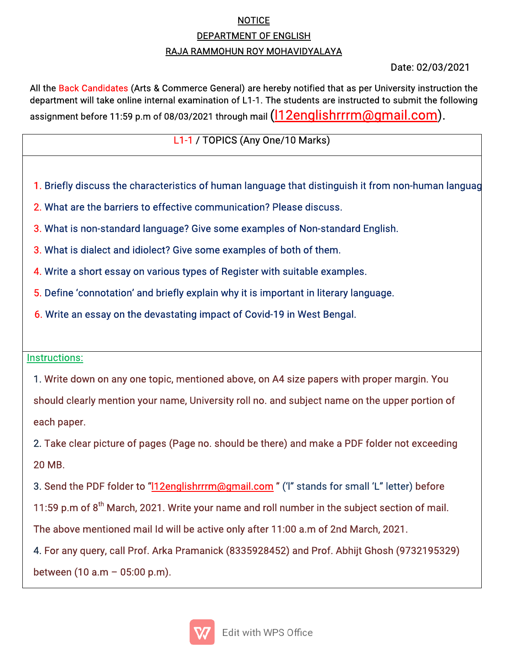## NOTICE DEPARTMENT OF ENGLISH RAJA RAMMOHUN ROY MOHAVIDYALAYA

## Date:02/03/2021

All the Back Candidates (Arts & Commerce General) are hereby notified that as per University instruction the department will take online internal examination of L1-1. The students are instructed to submit the following assignment before 11:59 p.m of 08/03/2021 through mail (l12englishrrrm@gmail.com).

## L1-1 / TOPICS (Any One/10 Marks)

- 1. Briefly discuss the characteristics of human language that distinguish it from non-human languag
- 2. What are the barriers to effective communication? Please discuss.
- 3. What is non-standard language? Give some examples of Non-standard English.
- 3. What is dialect and idiolect? Give some examples of both of them.
- 4. Write a short essay on various types of Register with suitable examples.
- 5. Define 'connotation' and briefly explain why it is important in literary language.
- 6. Write an essay on the devastating impact of Covid-19 in West Bengal.

## Instructions:

4. The contract of the contract of the contract of the contract of the contract of

1. Write down on any one topic, mentioned above, on A4 size papers with proper margin. You

should clearly mention your name, University roll no. and subject name on the upper portion of each paper.

2. Take clear picture of pages (Page no. should be there) and make a PDF folder not exceeding 20MB.

3. Send the PDF folder to "112englishrrrm@gmail.com" ('I" stands for small 'L" letter) before 11:59 p.m of  $8<sup>th</sup>$  March, 2021. Write your name and roll number in the subject section of mail. The above mentioned mail Id will be active only after 11:00 a.m of 2nd March, 2021.

4. For any query, call Prof. Arka Pramanick (8335928452) and Prof. Abhijt Ghosh (9732195329) between  $(10 a.m - 05:00 p.m).$